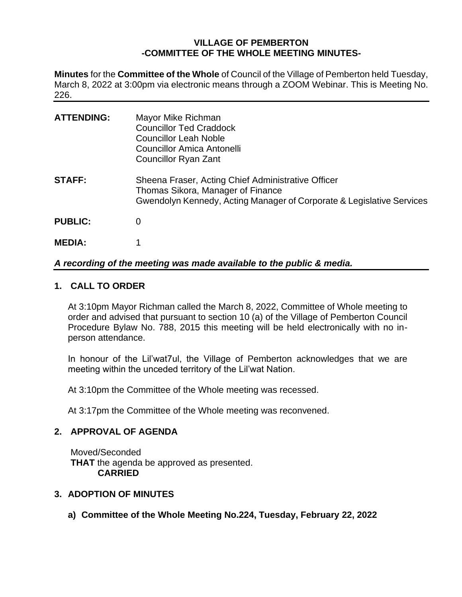# **VILLAGE OF PEMBERTON -COMMITTEE OF THE WHOLE MEETING MINUTES-**

**Minutes** for the **Committee of the Whole** of Council of the Village of Pemberton held Tuesday, March 8, 2022 at 3:00pm via electronic means through a ZOOM Webinar. This is Meeting No. 226.

| <b>ATTENDING:</b> | Mayor Mike Richman<br><b>Councillor Ted Craddock</b><br><b>Councillor Leah Noble</b><br>Councillor Amica Antonelli<br><b>Councillor Ryan Zant</b>                |
|-------------------|------------------------------------------------------------------------------------------------------------------------------------------------------------------|
| <b>STAFF:</b>     | Sheena Fraser, Acting Chief Administrative Officer<br>Thomas Sikora, Manager of Finance<br>Gwendolyn Kennedy, Acting Manager of Corporate & Legislative Services |
| <b>PUBLIC:</b>    | 0                                                                                                                                                                |
| <b>MEDIA:</b>     |                                                                                                                                                                  |

# *A recording of the meeting was made available to the public & media.*

## **1. CALL TO ORDER**

At 3:10pm Mayor Richman called the March 8, 2022, Committee of Whole meeting to order and advised that pursuant to section 10 (a) of the Village of Pemberton Council Procedure Bylaw No. 788, 2015 this meeting will be held electronically with no inperson attendance.

In honour of the Lil'wat7ul, the Village of Pemberton acknowledges that we are meeting within the unceded territory of the Lil'wat Nation.

At 3:10pm the Committee of the Whole meeting was recessed.

At 3:17pm the Committee of the Whole meeting was reconvened.

## **2. APPROVAL OF AGENDA**

Moved/Seconded **THAT** the agenda be approved as presented. **CARRIED**

## **3. ADOPTION OF MINUTES**

**a) Committee of the Whole Meeting No.224, Tuesday, February 22, 2022**